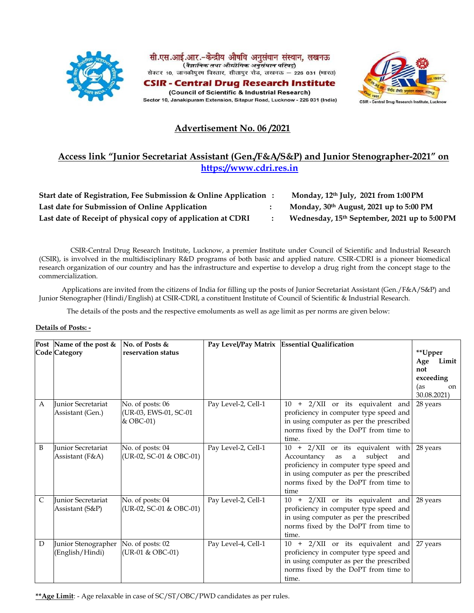





# **Advertisement No. 06 /2021**

# **Access link "Junior Secretariat Assistant (Gen./F&A/S&P) and Junior Stenographer-2021" on [https://www.cdri.res.in](https://www.cdri.res.in/)**

| Start date of Registration, Fee Submission & Online Application | Monday, 12th July, 2021 from 1:00 PM          |
|-----------------------------------------------------------------|-----------------------------------------------|
| Last date for Submission of Online Application                  | Monday, $30th$ August, 2021 up to 5:00 PM     |
| Last date of Receipt of physical copy of application at CDRI    | Wednesday, 15th September, 2021 up to 5:00 PM |

CSIR-Central Drug Research Institute, Lucknow, a premier Institute under Council of Scientific and Industrial Research (CSIR), is involved in the multidisciplinary R&D programs of both basic and applied nature. CSIR-CDRI is a pioneer biomedical research organization of our country and has the infrastructure and expertise to develop a drug right from the concept stage to the commercialization.

Applications are invited from the citizens of India for filling up the posts of Junior Secretariat Assistant (Gen./F&A/S&P) and Junior Stenographer (Hindi/English) at CSIR-CDRI, a constituent Institute of Council of Scientific & Industrial Research.

The details of the posts and the respective emoluments as well as age limit as per norms are given below:

### **Details of Posts: -**

|              | Post Name of the post &<br>Code Category      | No. of Posts &<br>reservation status                   |                     | Pay Level/Pay Matrix Essential Qualification                                                                                                                                                                       | **Upper<br>Limit<br>Age<br>not<br>exceeding |
|--------------|-----------------------------------------------|--------------------------------------------------------|---------------------|--------------------------------------------------------------------------------------------------------------------------------------------------------------------------------------------------------------------|---------------------------------------------|
|              |                                               |                                                        |                     |                                                                                                                                                                                                                    | (as<br>on<br>30.08.2021)                    |
| $\mathsf{A}$ | <b>Iunior Secretariat</b><br>Assistant (Gen.) | No. of posts: 06<br>(UR-03, EWS-01, SC-01<br>& OBC-01) | Pay Level-2, Cell-1 | + 2/XII or its equivalent and<br>10<br>proficiency in computer type speed and<br>in using computer as per the prescribed<br>norms fixed by the DoPT from time to<br>time.                                          | 28 years                                    |
| B            | <b>Iunior Secretariat</b><br>Assistant (F&A)  | No. of posts: 04<br>(UR-02, SC-01 & OBC-01)            | Pay Level-2, Cell-1 | 10 + 2/XII or its equivalent with<br>subject<br>Accountancy<br>as<br>a<br>and<br>proficiency in computer type speed and<br>in using computer as per the prescribed<br>norms fixed by the DoPT from time to<br>time | 28 years                                    |
| $\mathsf{C}$ | Junior Secretariat<br>Assistant (S&P)         | No. of posts: 04<br>(UR-02, SC-01 & OBC-01)            | Pay Level-2, Cell-1 | + 2/XII or its equivalent and<br>10<br>proficiency in computer type speed and<br>in using computer as per the prescribed<br>norms fixed by the DoPT from time to<br>time.                                          | 28 years                                    |
| D            | Junior Stenographer<br>(English/Hindi)        | No. of posts: 02<br>(UR-01 & OBC-01)                   | Pay Level-4, Cell-1 | + 2/XII or its equivalent and<br>10<br>proficiency in computer type speed and<br>in using computer as per the prescribed<br>norms fixed by the DoPT from time to<br>time.                                          | 27 years                                    |

**\*\*Age Limit**: - Age relaxable in case of SC/ST/OBC/PWD candidates as per rules.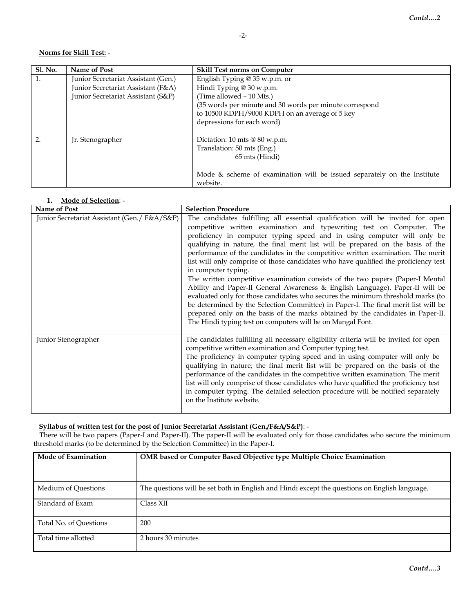### **Norms for Skill Test:** -

| <b>Sl. No.</b> | Name of Post                        | <b>Skill Test norms on Computer</b>                                     |  |
|----------------|-------------------------------------|-------------------------------------------------------------------------|--|
|                | Junior Secretariat Assistant (Gen.) | English Typing @ 35 w.p.m. or                                           |  |
|                | Junior Secretariat Assistant (F&A)  | Hindi Typing @ 30 w.p.m.                                                |  |
|                | Junior Secretariat Assistant (S&P)  | (Time allowed - 10 Mts.)                                                |  |
|                |                                     | (35 words per minute and 30 words per minute correspond                 |  |
|                |                                     | to 10500 KDPH/9000 KDPH on an average of 5 key                          |  |
|                |                                     | depressions for each word)                                              |  |
|                |                                     |                                                                         |  |
| $\mathcal{P}$  | Jr. Stenographer                    | Dictation: 10 mts $@ 80 w.p.m.$                                         |  |
|                |                                     | Translation: 50 mts (Eng.)                                              |  |
|                |                                     | 65 mts (Hindi)                                                          |  |
|                |                                     |                                                                         |  |
|                |                                     | Mode & scheme of examination will be issued separately on the Institute |  |
|                |                                     | website.                                                                |  |

## **1. Mode of Selection**: -

| Name of Post                                  | <b>Selection Procedure</b>                                                                                                                                                                                                                                                                                                                                                                                                                                                                                                                                                                                                                                                                                                                                                                                                                                                                                                                                                                                         |
|-----------------------------------------------|--------------------------------------------------------------------------------------------------------------------------------------------------------------------------------------------------------------------------------------------------------------------------------------------------------------------------------------------------------------------------------------------------------------------------------------------------------------------------------------------------------------------------------------------------------------------------------------------------------------------------------------------------------------------------------------------------------------------------------------------------------------------------------------------------------------------------------------------------------------------------------------------------------------------------------------------------------------------------------------------------------------------|
| Junior Secretariat Assistant (Gen. / F&A/S&P) | The candidates fulfilling all essential qualification will be invited for open<br>competitive written examination and typewriting test on Computer. The<br>proficiency in computer typing speed and in using computer will only be<br>qualifying in nature, the final merit list will be prepared on the basis of the<br>performance of the candidates in the competitive written examination. The merit<br>list will only comprise of those candidates who have qualified the proficiency test<br>in computer typing.<br>The written competitive examination consists of the two papers (Paper-I Mental<br>Ability and Paper-II General Awareness & English Language). Paper-II will be<br>evaluated only for those candidates who secures the minimum threshold marks (to<br>be determined by the Selection Committee) in Paper-I. The final merit list will be<br>prepared only on the basis of the marks obtained by the candidates in Paper-II.<br>The Hindi typing test on computers will be on Mangal Font. |
| Junior Stenographer                           | The candidates fulfilling all necessary eligibility criteria will be invited for open<br>competitive written examination and Computer typing test.<br>The proficiency in computer typing speed and in using computer will only be<br>qualifying in nature; the final merit list will be prepared on the basis of the<br>performance of the candidates in the competitive written examination. The merit<br>list will only comprise of those candidates who have qualified the proficiency test<br>in computer typing. The detailed selection procedure will be notified separately<br>on the Institute website.                                                                                                                                                                                                                                                                                                                                                                                                    |

### **Syllabus of written test for the post of Junior Secretariat Assistant (Gen./F&A/S&P)**: -

There will be two papers (Paper-I and Paper-II). The paper-II will be evaluated only for those candidates who secure the minimum threshold marks (to be determined by the Selection Committee) in the Paper-I.

| Mode of Examination    | <b>OMR</b> based or Computer Based Objective type Multiple Choice Examination                 |
|------------------------|-----------------------------------------------------------------------------------------------|
| Medium of Ouestions    | The questions will be set both in English and Hindi except the questions on English language. |
| Standard of Exam       | Class XII                                                                                     |
| Total No. of Ouestions | 200                                                                                           |
| Total time allotted    | 2 hours 30 minutes                                                                            |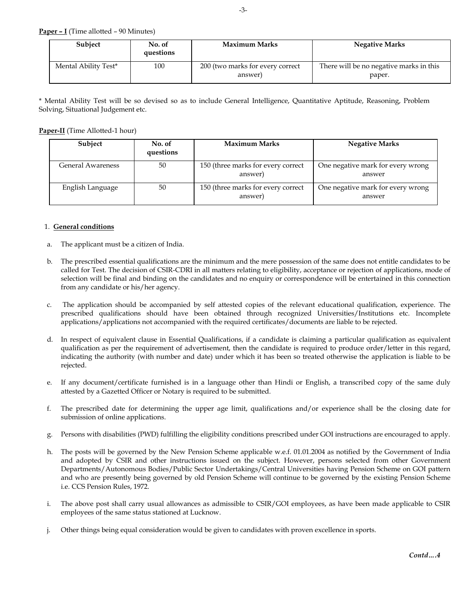**Paper – I** (Time allotted – 90 Minutes)

| Subject              | No. of<br>questions | <b>Maximum Marks</b>                        | <b>Negative Marks</b>                             |
|----------------------|---------------------|---------------------------------------------|---------------------------------------------------|
| Mental Ability Test* | 100                 | 200 (two marks for every correct<br>answer) | There will be no negative marks in this<br>paper. |

\* Mental Ability Test will be so devised so as to include General Intelligence, Quantitative Aptitude, Reasoning, Problem Solving, Situational Judgement etc.

#### **Paper-II** (Time Allotted-1 hour)

| Subject           | No. of<br>questions | <b>Maximum Marks</b>                          | <b>Negative Marks</b>                       |
|-------------------|---------------------|-----------------------------------------------|---------------------------------------------|
| General Awareness | 50                  | 150 (three marks for every correct<br>answer) | One negative mark for every wrong<br>answer |
| English Language  | 50                  | 150 (three marks for every correct<br>answer) | One negative mark for every wrong<br>answer |

#### 1. **General conditions**

- a. The applicant must be a citizen of India.
- b. The prescribed essential qualifications are the minimum and the mere possession of the same does not entitle candidates to be called for Test. The decision of CSIR-CDRI in all matters relating to eligibility, acceptance or rejection of applications, mode of selection will be final and binding on the candidates and no enquiry or correspondence will be entertained in this connection from any candidate or his/her agency.
- c. The application should be accompanied by self attested copies of the relevant educational qualification, experience. The prescribed qualifications should have been obtained through recognized Universities/Institutions etc. Incomplete applications/applications not accompanied with the required certificates/documents are liable to be rejected.
- d. In respect of equivalent clause in Essential Qualifications, if a candidate is claiming a particular qualification as equivalent qualification as per the requirement of advertisement, then the candidate is required to produce order/letter in this regard, indicating the authority (with number and date) under which it has been so treated otherwise the application is liable to be rejected.
- e. If any document/certificate furnished is in a language other than Hindi or English, a transcribed copy of the same duly attested by a Gazetted Officer or Notary is required to be submitted.
- f. The prescribed date for determining the upper age limit, qualifications and/or experience shall be the closing date for submission of online applications.
- g. Persons with disabilities (PWD) fulfilling the eligibility conditions prescribed under GOI instructions are encouraged to apply.
- h. The posts will be governed by the New Pension Scheme applicable w.e.f. 01.01.2004 as notified by the Government of India and adopted by CSIR and other instructions issued on the subject. However, persons selected from other Government Departments/Autonomous Bodies/Public Sector Undertakings/Central Universities having Pension Scheme on GOI pattern and who are presently being governed by old Pension Scheme will continue to be governed by the existing Pension Scheme i.e. CCS Pension Rules, 1972.
- i. The above post shall carry usual allowances as admissible to CSIR/GOI employees, as have been made applicable to CSIR employees of the same status stationed at Lucknow.
- j. Other things being equal consideration would be given to candidates with proven excellence in sports.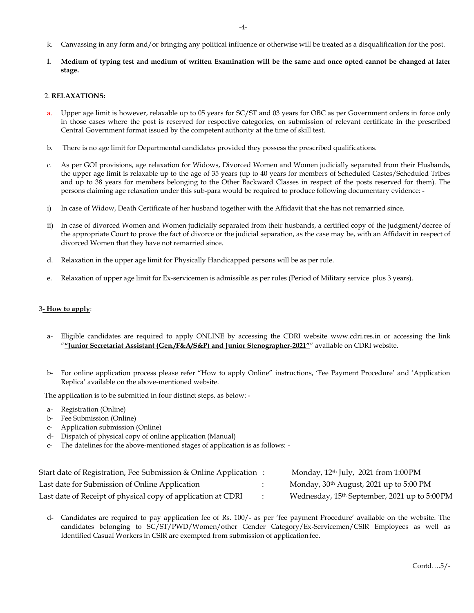- k. Canvassing in any form and/or bringing any political influence or otherwise will be treated as a disqualification for the post.
- **l. Medium of typing test and medium of written Examination will be the same and once opted cannot be changed at later stage.**

#### 2. **RELAXATIONS:**

- a. Upper age limit is however, relaxable up to 05 years for SC/ST and 03 years for OBC as per Government orders in force only in those cases where the post is reserved for respective categories, on submission of relevant certificate in the prescribed Central Government format issued by the competent authority at the time of skill test.
- b. There is no age limit for Departmental candidates provided they possess the prescribed qualifications.
- c. As per GOI provisions, age relaxation for Widows, Divorced Women and Women judicially separated from their Husbands, the upper age limit is relaxable up to the age of 35 years (up to 40 years for members of Scheduled Castes/Scheduled Tribes and up to 38 years for members belonging to the Other Backward Classes in respect of the posts reserved for them). The persons claiming age relaxation under this sub-para would be required to produce following documentary evidence: -
- i) In case of Widow, Death Certificate of her husband together with the Affidavit that she has not remarried since.
- ii) In case of divorced Women and Women judicially separated from their husbands, a certified copy of the judgment/decree of the appropriate Court to prove the fact of divorce or the judicial separation, as the case may be, with an Affidavit in respect of divorced Women that they have not remarried since.
- d. Relaxation in the upper age limit for Physically Handicapped persons will be as per rule.
- e. Relaxation of upper age limit for Ex-servicemen is admissible as per rules (Period of Military service plus 3 years).

#### 3**- How to apply**:

- Eligible candidates are required to apply ONLINE by accessing the CDRI website [www.cdri.res.in](http://www.cdri.res.in/) or accessing the link "**"Junior Secretariat Assistant (Gen./F&A/S&P) and Junior Stenographer-2021"**" available on CDRI website.
- b- For online application process please refer "How to apply Online" instructions, 'Fee Payment Procedure' and 'Application Replica' available on the above-mentioned website.

The application is to be submitted in four distinct steps, as below: -

- a- Registration (Online)
- b- Fee Submission (Online)
- c- Application submission (Online)
- d- Dispatch of physical copy of online application (Manual)
- c- The datelines for the above-mentioned stages of application is as follows: -

| Start date of Registration, Fee Submission & Online Application: | Monday, $12th$ July, $2021$ from $1:00 \text{PM}$         |
|------------------------------------------------------------------|-----------------------------------------------------------|
| Last date for Submission of Online Application                   | Monday, 30 <sup>th</sup> August, 2021 up to 5:00 PM       |
| Last date of Receipt of physical copy of application at CDRI     | Wednesday, 15 <sup>th</sup> September, 2021 up to 5:00 PM |

d- Candidates are required to pay application fee of Rs. 100/- as per 'fee payment Procedure' available on the website. The candidates belonging to SC/ST/PWD/Women/other Gender Category/Ex-Servicemen/CSIR Employees as well as Identified Casual Workers in CSIR are exempted from submission of application fee.